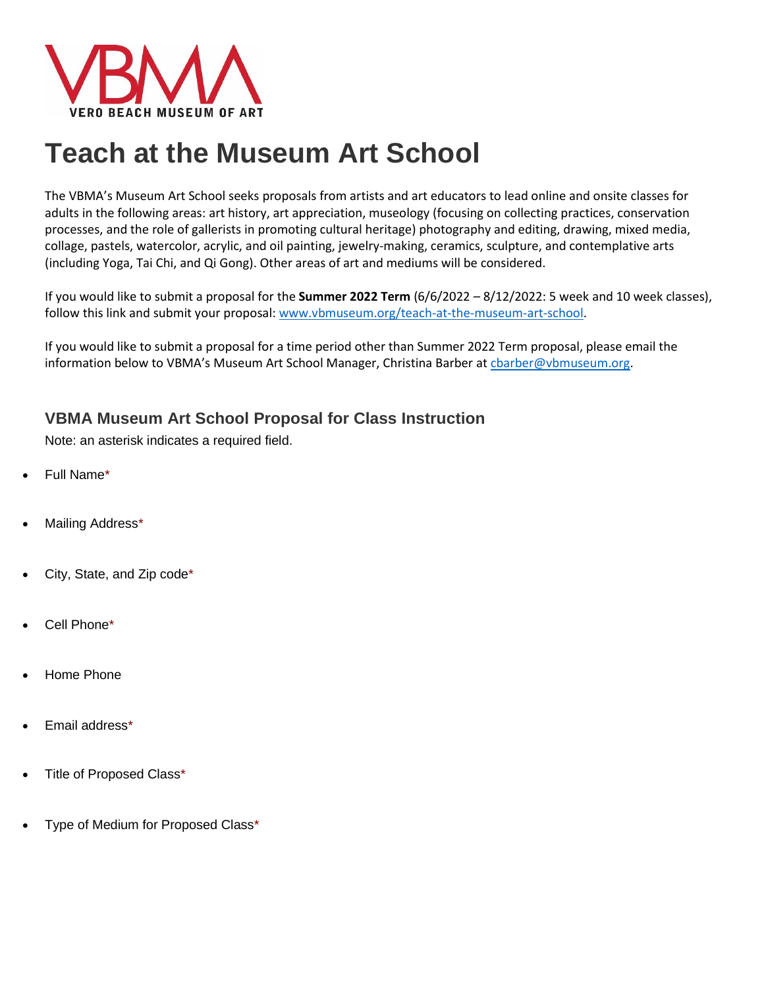

# **Teach at the Museum Art School**

The VBMA's Museum Art School seeks proposals from artists and art educators to lead online and onsite classes for adults in the following areas: art history, art appreciation, museology (focusing on collecting practices, conservation processes, and the role of gallerists in promoting cultural heritage) photography and editing, drawing, mixed media, collage, pastels, watercolor, acrylic, and oil painting, jewelry-making, ceramics, sculpture, and contemplative arts (including Yoga, Tai Chi, and Qi Gong). Other areas of art and mediums will be considered.

If you would like to submit a proposal for the **Summer 2022 Term** (6/6/2022 – 8/12/2022: 5 week and 10 week classes), follow this link and submit your proposal: [www.vbmuseum.org/teach-at-the-museum-art-school.](http://www.vbmuseum.org/teach-at-the-museum-art-school)

If you would like to submit a proposal for a time period other than Summer 2022 Term proposal, please email the information below to VBMA's Museum Art School Manager, Christina Barber at charber@vbmuseum.org.

# **VBMA Museum Art School Proposal for Class Instruction**

Note: an asterisk indicates a required field.

- Full Name\*
- Mailing Address\*
- City, State, and Zip code\*
- Cell Phone\*
- Home Phone
- Email address\*
- Title of Proposed Class\*
- Type of Medium for Proposed Class\*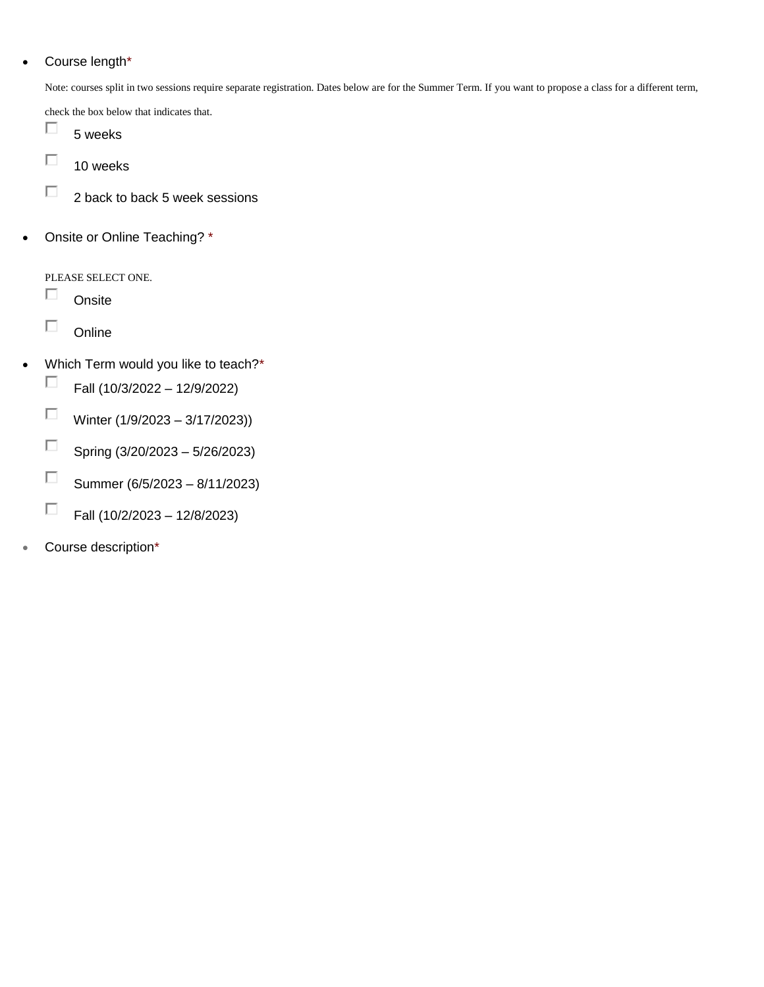# Course length\*

Note: courses split in two sessions require separate registration. Dates below are for the Summer Term. If you want to propose a class for a different term,

check the box below that indicates that.

- П 5 weeks
- $\Box$ 10 weeks
- П 2 back to back 5 week sessions
- Onsite or Online Teaching? \*

PLEASE SELECT ONE.

- П **Onsite**
- $\Box$ **Online**
- Which Term would you like to teach?\*
	- П Fall (10/3/2022 – 12/9/2022)
	- $\Box$ Winter (1/9/2023 – 3/17/2023))
	- $\Box$ Spring (3/20/2023 – 5/26/2023)
	- $\Box$ Summer (6/5/2023 – 8/11/2023)
	- $\Box$ Fall (10/2/2023 – 12/8/2023)
- Course description\*